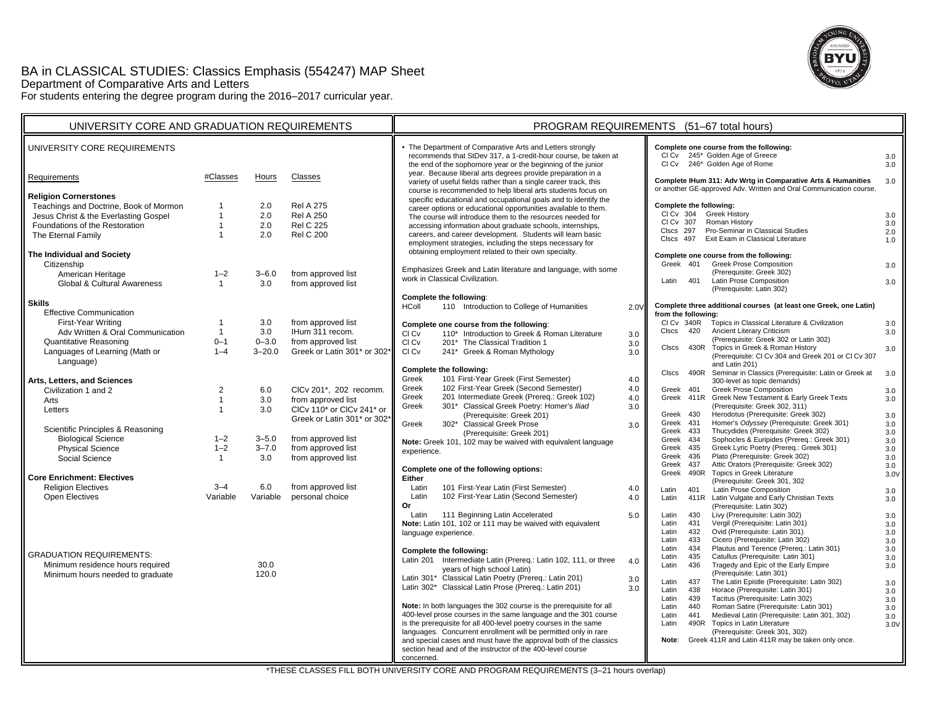# BA in CLASSICAL STUDIES: Classics Emphasis (554247) MAP Sheet Department of Comparative Arts and Letters



For students entering the degree program during the 2016–2017 curricular year.

| UNIVERSITY CORE AND GRADUATION REQUIREMENTS          |                                  |            |                                                 | PROGRAM REQUIREMENTS (51-67 total hours)                                                                                                                                                                                                                                                                   |             |  |  |
|------------------------------------------------------|----------------------------------|------------|-------------------------------------------------|------------------------------------------------------------------------------------------------------------------------------------------------------------------------------------------------------------------------------------------------------------------------------------------------------------|-------------|--|--|
| UNIVERSITY CORE REQUIREMENTS                         |                                  |            |                                                 | • The Department of Comparative Arts and Letters strongly<br>Complete one course from the following:<br>CI Cv 245* Golden Age of Greece<br>recommends that StDev 317, a 1-credit-hour course, be taken at<br>CI Cv 246* Golden Age of Rome<br>the end of the sophomore year or the beginning of the junior | 3.0<br>3.0  |  |  |
| Requirements                                         | #Classes                         | Hours      | Classes                                         | year. Because liberal arts degrees provide preparation in a<br>Complete IHum 311: Adv Wrtg in Comparative Arts & Humanities<br>variety of useful fields rather than a single career track, this<br>or another GE-approved Adv. Written and Oral Communication course.                                      | 3.0         |  |  |
| <b>Religion Cornerstones</b>                         |                                  |            |                                                 | course is recommended to help liberal arts students focus on<br>specific educational and occupational goals and to identify the                                                                                                                                                                            |             |  |  |
| Teachings and Doctrine, Book of Mormon               | $\mathbf{1}$                     | 2.0        | <b>Rel A 275</b>                                | Complete the following:<br>career options or educational opportunities available to them.<br>CI Cv 304<br><b>Greek History</b>                                                                                                                                                                             |             |  |  |
| Jesus Christ & the Everlasting Gospel                | $\mathbf{1}$                     | 2.0        | <b>Rel A 250</b>                                | The course will introduce them to the resources needed for<br>CI Cv 307<br>Roman History                                                                                                                                                                                                                   | 3.0<br>3.0  |  |  |
| Foundations of the Restoration                       | $\mathbf{1}$<br>$\mathbf{1}$     | 2.0<br>2.0 | <b>Rel C 225</b><br><b>Rel C 200</b>            | accessing information about graduate schools, internships,<br>Pro-Seminar in Classical Studies<br>Clscs 297<br>careers, and career development. Students will learn basic                                                                                                                                  | 2.0         |  |  |
| The Eternal Family                                   |                                  |            |                                                 | Exit Exam in Classical Literature<br>Clscs 497<br>employment strategies, including the steps necessary for                                                                                                                                                                                                 | 1.0         |  |  |
| The Individual and Society                           |                                  |            |                                                 | obtaining employment related to their own specialty.<br>Complete one course from the following:                                                                                                                                                                                                            |             |  |  |
| Citizenship                                          |                                  |            |                                                 | Greek 401<br><b>Greek Prose Composition</b>                                                                                                                                                                                                                                                                | 3.0         |  |  |
| American Heritage                                    | $1 - 2$                          | $3 - 6.0$  | from approved list                              | Emphasizes Greek and Latin literature and language, with some<br>(Prerequisite: Greek 302)<br>work in Classical Civilization.                                                                                                                                                                              |             |  |  |
| <b>Global &amp; Cultural Awareness</b>               | $\mathbf{1}$                     | 3.0        | from approved list                              | 401<br>Latin Prose Composition<br>Latin<br>(Prerequisite: Latin 302)                                                                                                                                                                                                                                       | 3.0         |  |  |
|                                                      |                                  |            |                                                 | Complete the following:                                                                                                                                                                                                                                                                                    |             |  |  |
| <b>Skills</b>                                        |                                  |            |                                                 | 110 Introduction to College of Humanities<br>Complete three additional courses (at least one Greek, one Latin)<br>HColl<br>2.0V                                                                                                                                                                            |             |  |  |
| <b>Effective Communication</b><br>First-Year Writing | $\overline{1}$                   | 3.0        | from approved list                              | from the following:<br>CI Cv 340R<br>Topics in Classical Literature & Civilization                                                                                                                                                                                                                         |             |  |  |
| Adv Written & Oral Communication                     | $\mathbf{1}$                     | 3.0        | IHum 311 recom.                                 | Complete one course from the following:<br>420<br>Ancient Literary Criticism<br>CIscs<br>110* Introduction to Greek & Roman Literature<br>CI Cv                                                                                                                                                            | 3.0<br>3.0  |  |  |
| <b>Quantitative Reasoning</b>                        | $0 - 1$                          | $0 - 3.0$  | from approved list                              | 3.0<br>(Prerequisite: Greek 302 or Latin 302)<br>CI Cv<br>201* The Classical Tradition 1<br>3.0                                                                                                                                                                                                            |             |  |  |
| Languages of Learning (Math or                       | $1 - 4$                          | $3 - 20.0$ | Greek or Latin 301* or 302                      | 430R Topics in Greek & Roman History<br><b>CIscs</b><br>CI Cv<br>241* Greek & Roman Mythology<br>3.0                                                                                                                                                                                                       | 3.0         |  |  |
| Language)                                            |                                  |            |                                                 | (Prerequisite: CI Cv 304 and Greek 201 or CI Cv 307<br>and Latin 201)                                                                                                                                                                                                                                      |             |  |  |
|                                                      |                                  |            |                                                 | Complete the following:<br>490R<br>Seminar in Classics (Prerequisite: Latin or Greek at<br><b>CIscs</b>                                                                                                                                                                                                    | 3.0         |  |  |
| Arts, Letters, and Sciences                          |                                  |            |                                                 | 101 First-Year Greek (First Semester)<br>Greek<br>4.0<br>300-level as topic demands)<br>102 First-Year Greek (Second Semester)<br>Greek                                                                                                                                                                    |             |  |  |
| Civilization 1 and 2                                 | $\overline{2}$                   | 6.0        | CICv 201*, 202 recomm.                          | 4.0<br><b>Greek Prose Composition</b><br>Greek 401<br>201 Intermediate Greek (Prereq.: Greek 102)<br>Greek<br>4.0<br>Greek 411R Greek New Testament & Early Greek Texts                                                                                                                                    | 3.0         |  |  |
| Arts                                                 | $\overline{1}$<br>$\overline{1}$ | 3.0<br>3.0 | from approved list<br>CICv 110* or CICv 241* or | 301* Classical Greek Poetry: Homer's Iliad<br>(Prerequisite: Greek 302, 311)<br>Greek<br>3.0                                                                                                                                                                                                               | 3.0         |  |  |
| Letters                                              |                                  |            | Greek or Latin 301* or 302                      | Herodotus (Prerequisite: Greek 302)<br>(Prerequisite: Greek 201)<br>Greek 430                                                                                                                                                                                                                              | 3.0         |  |  |
| Scientific Principles & Reasoning                    |                                  |            |                                                 | Homer's Odyssey (Prerequisite: Greek 301)<br>Greek 431<br>Greek<br>302* Classical Greek Prose<br>3.0                                                                                                                                                                                                       | 3.0         |  |  |
| <b>Biological Science</b>                            | $1 - 2$                          | $3 - 5.0$  | from approved list                              | Thucydides (Prerequisite: Greek 302)<br>Greek 433<br>(Prerequisite: Greek 201)<br>Sophocles & Euripides (Prereq.: Greek 301)<br>Greek 434                                                                                                                                                                  | 3.0<br>3.0  |  |  |
| <b>Physical Science</b>                              | $1 - 2$                          | $3 - 7.0$  | from approved list                              | Note: Greek 101, 102 may be waived with equivalent language<br>Greek Lyric Poetry (Prereq.: Greek 301)<br>Greek 435<br>experience.                                                                                                                                                                         | $3.0\,$     |  |  |
| Social Science                                       | $\mathbf{1}$                     | 3.0        | from approved list                              | Plato (Prerequisite: Greek 302)<br>Greek 436                                                                                                                                                                                                                                                               | 3.0         |  |  |
|                                                      |                                  |            |                                                 | Attic Orators (Prerequisite: Greek 302)<br>Greek 437<br>Complete one of the following options:<br>Greek 490R Topics in Greek Literature                                                                                                                                                                    | 3.0         |  |  |
| <b>Core Enrichment: Electives</b>                    |                                  |            |                                                 | Either<br>(Prerequisite: Greek 301, 302                                                                                                                                                                                                                                                                    | 3.0V        |  |  |
| <b>Religion Electives</b>                            | $3 - 4$                          | 6.0        | from approved list                              | Latin<br>101 First-Year Latin (First Semester)<br>4.0<br>Latin<br>401<br>Latin Prose Composition                                                                                                                                                                                                           | 3.0         |  |  |
| <b>Open Electives</b>                                | Variable                         | Variable   | personal choice                                 | 102 First-Year Latin (Second Semester)<br>Latin<br>4.0<br>Latin Vulgate and Early Christian Texts<br>Latin<br>411R<br>Or<br>(Prerequisite: Latin 302)                                                                                                                                                      | 3.0         |  |  |
|                                                      |                                  |            |                                                 | Latin 111 Beginning Latin Accelerated<br>Livy (Prerequisite: Latin 302)<br>5.0<br>Latin<br>430                                                                                                                                                                                                             | 3.0         |  |  |
|                                                      |                                  |            |                                                 | Vergil (Prerequisite: Latin 301)<br>Note: Latin 101, 102 or 111 may be waived with equivalent<br>Latin<br>431                                                                                                                                                                                              | 3.0         |  |  |
|                                                      |                                  |            |                                                 | Latin<br>432<br>Ovid (Prerequisite: Latin 301)<br>language experience.                                                                                                                                                                                                                                     | 3.0         |  |  |
|                                                      |                                  |            |                                                 | Cicero (Prerequisite: Latin 302)<br>Latin<br>433<br>Plautus and Terence (Prereq.: Latin 301)<br>Latin<br>434                                                                                                                                                                                               | 3.0<br>3.0  |  |  |
| <b>GRADUATION REQUIREMENTS:</b>                      |                                  |            |                                                 | Complete the following:<br>435<br>Catullus (Prerequisite: Latin 301)<br>Latin<br>Latin 201 Intermediate Latin (Prereq.: Latin 102, 111, or three                                                                                                                                                           | 3.0         |  |  |
| Minimum residence hours required                     |                                  | 30.0       |                                                 | 4.0<br>Tragedy and Epic of the Early Empire<br>Latin<br>436<br>years of high school Latin)                                                                                                                                                                                                                 | 3.0         |  |  |
| Minimum hours needed to graduate                     |                                  | 120.0      |                                                 | (Prerequisite: Latin 301)<br>Latin 301* Classical Latin Poetry (Prereq.: Latin 201)<br>3.0<br>The Latin Epistle (Prerequisite: Latin 302)<br>Latin<br>437                                                                                                                                                  |             |  |  |
|                                                      |                                  |            |                                                 | Latin 302* Classical Latin Prose (Prereq.: Latin 201)<br>3.0<br>Horace (Prerequisite: Latin 301)<br>438<br>Latin                                                                                                                                                                                           | 3.0<br>3.0  |  |  |
|                                                      |                                  |            |                                                 | Tacitus (Prerequisite: Latin 302)<br>439<br>Latin                                                                                                                                                                                                                                                          | 3.0         |  |  |
|                                                      |                                  |            |                                                 | Note: In both languages the 302 course is the prerequisite for all<br>Roman Satire (Prerequisite: Latin 301)<br>Latin<br>440<br>400-level prose courses in the same language and the 301 course<br>Medieval Latin (Prerequisite: Latin 301, 302)                                                           | 3.0         |  |  |
|                                                      |                                  |            |                                                 | 441<br>Latin<br>is the prerequisite for all 400-level poetry courses in the same<br>Topics in Latin Literature<br>490R<br>Latin                                                                                                                                                                            | 3.0<br>3.0V |  |  |
|                                                      |                                  |            |                                                 | languages. Concurrent enrollment will be permitted only in rare<br>(Prerequisite: Greek 301, 302)                                                                                                                                                                                                          |             |  |  |
|                                                      |                                  |            |                                                 | and special cases and must have the approval both of the classics<br>Greek 411R and Latin 411R may be taken only once.<br>Note:                                                                                                                                                                            |             |  |  |
|                                                      |                                  |            |                                                 | section head and of the instructor of the 400-level course<br>concerned.                                                                                                                                                                                                                                   |             |  |  |
|                                                      |                                  |            |                                                 |                                                                                                                                                                                                                                                                                                            |             |  |  |

\*THESE CLASSES FILL BOTH UNIVERSITY CORE AND PROGRAM REQUIREMENTS (3–21 hours overlap)